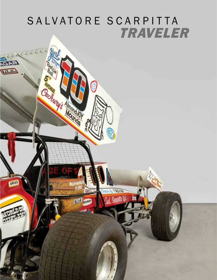# SALVATORE SCARPITTA<br>TRAVELER

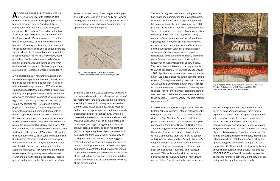singular figure in postwar American A art, Salvatore Scarpitta (1919-2007) traversed a wide terrain, crossing the presumed borders between painting and sculpture, abstraction and realism, art and everyday experience. Born in New York and raised in Los Angeles, Scarpitta began his career in Rome after the Second World War and completed it on the dirt-track speedways of rural Pennsylvania and Maryland. Focusing on his shaped and wrapped canvases, race cars, and sleds, *Salvatore Scarpitta: Traveler* illuminates themes that preoccupied the artist throughout his life: risk, movement, death, and rebirth. As this adventurous body of work attests, Scarpitta was unafraid to go wherever his ideas led. In his words, "Art has no particular resting place . . . it travels where it is needed."1

Driving Scarpitta's art forward through its many iterations was a persistent desire to "introduce into the art experience the life experience."2 His first radical breakthrough came in 1957 with his socalled Extramurals: three-dimensional "paintings" made by wrapping fabric around stretcher bars or panels, and sometimes incorporating wire armature (fig. 1 and back cover). Scarpitta's aim was to "make my painting real . . . to make it terribly physical."3 Challenging the picture plane and forcing the canvas out of its traditional role as neutral support, he tore up old works and used the material to produce a new form of expression. Scarpitta also employed unconventional items such as swaddling, medical bandages, and straps. With their wound-like slits and bandaged surfaces, these works reflect the trauma of World War II. Scarpitta resided in Italy from 1936 to 1958 and experienced the disasters of Fascism and war firsthand. After the fall of Mussolini in 1943, he fled with his first wife, Clotilde Puntieri, an Italian Jew, into the Apennine Mountains. They remained in hiding for almost a year, living among escaped prisoners of war and aiding the Italian Resistance. There is rupture and tension in the Extramurals but also a

sense of buried vitality. Their bulges and ripples evoke the contours of a living body but, viewed closely, the undulating surfaces appear frozen—or, as an early reviewer observed, "mummified"4—in applications of resin and paint.



Fig. 1: Ponte S. Felice, 1958. Collection of Ruth and Theodore Baum. Photo by Cathy Carver

Scarpitta's art in the 1960s continues to allude to the body and mortality, but references the risks of car racing rather than war. By this time, Scarpitta was living in New York, having returned to the United States in 1958. As a boy in Los Angeles, he had been a regular spectator at the notoriously treacherous Legion Ascot Speedway, where he marveled at the feats of the drivers and mourned those who perished. Now, as an adult attending races again, he began using car parts, such as exhaust pipes and safety belts, in his paintings (fig. 2). Incorporating these objects, some of which he scavenged from fatal wrecks, was his way of "trying to extend the lives of those young guys that had burned up."5 As with his earlier work, the car-part paintings are cut and bruised, bandaged and bound. In contrast to the Extramurals' muted monochrome, however, many employ combinations of red and yellow, the hot hues signaling both the danger of the track and the contradictory joyfulness of the drivers' pursuit.

The artist's reignited passion for racing soon led him to abandon abstraction for a radical realism. Between 1964 and 1969, Scarpitta created six full-scale vehicles. The first, *Rajo Jack Spl*, 1964 (Galleria Civica d'Arte Moderna e Contemporanea, Turin, not on view), is a replica of a car once driven by Dewey "Rajo Jack" Gatson (1905–1956), a pioneering African-American driver. Copied from a photograph, *Rajo Jack Spl* was made almost entirely by hand, some parts carved from wood. For the subsequent vehicles, Scarpitta began with existing antique components, which he rehabilitated and augmented with newly fabricated parts. Several cars were even rendered fully functional, though intended for gallery display. The last to be completed and the only example the artist deliberately left unfinished, *Sal Cragar*, 1969 (figs. 3 and 4), is an elegiac, austere shell of a car.6 Scarpitta likened his automobiles to "suit[s] of armor," strongly associating them with the men who drove and sometimes died in them.<sup>7</sup> He did not aspire to showroom perfection, preferring them to appear "alive" and "human," displaying signs of wear and tear. "I felt the cars were an extension of those people. . . . I don't consider my cars restored vehicles at all."8

In 1986, Scarpitta further merged his art with life by taking the extraordinary step of establishing his own sprint car team. The car that became *Trevis Race Car (Sal Gambler Special)*, 1985 (cover), played a crucial role in this transition. Scarpitta purchased it from driver Gregory O'Neill in 1985. Their ensuing friendship led the artist deeper into the world of sprint car racing, emboldening him to field a competitive team the following season, with O'Neill as driver and Leo Castelli, the artist's longtime gallerist, as primary sponsor. Scarpitta saw car racing and art making as closely aligned both are about risk, instincts, and "constant renewal."9 He embraced sprint car racing in particular for its rough-and-tumble, homegrown nature. Unlike Formula and Indy cars, sprint cars



Fig. 2: Racer's Pillow, 1963. Whitney Museum of American Art, New York; bequest of B.H. Friedman (2011.53) Photo © Whitney Museum of American Art

are not factory-produced; they are created and driven by passionate individuals, more for raw experience than for profit. Scarpitta's engagement with racing was ardent. For more than fifteen years, his cars competed in as many as sixty races a season at speedways in Pennsylvania and Maryland. *Trevis Race Car* was retired to the gallery, altered only by a colorful Pop-art style paint job. The names of Scarpitta's family members, friends, and collaborators from both the racing and art worlds appear alongside decorations dating to the car's competitive life. Other motifs point to social issues about which Scarpitta cared deeply. The phrases "AGE OF RAGE" and "cool it" scrawled across the dashboard reference both the violent nature of car racing and the tumult of societal conflict.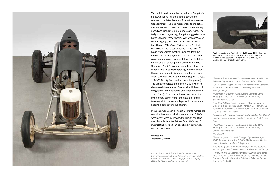

The exhibition closes with a selection of Scarpitta's sleds, works he initiated in the 1970s and returned to in later decades. A primitive means of transportation, the sled represented to the artist solitary, nomadic travel, in contrast to the roaring speed and circular motion of race car driving. The freight on such a journey, Scarpitta suggested, was human feeling: "Why wheels? Why wheels? You've been dragging your emotions around the world for 56 years. Why *drive* it? *Drag* it. That's what you're doing. So I dragged it and it was right."10 Made from objects mostly scavenged from the streets, the sleds project both a sense of human resourcefulness and vulnerability. The stretched canvases that accompany many of them (see *Snowshoe Sled*, 1974) are made from obstetrical drapes—their distinctive openings being the space through which a baby is meant to enter the world. Scarpitta's last sled, *Cot and Lock Step n. 2 Cargo,*  1989/2000 (fig. 5), also hints at a life passage. The artist completed the piece in 2000 when he discovered the remains of a roadside billboard hit by lightning, and decided to use parts of it as the sled's "cargo." The charred wood, accompanied by an empty pair of metal shoe guards, lends a funerary air to the assemblage, as if the cot were bearing a soul toward the afterlife.

In this late work, as in all his art, Scarpitta merges the real with the metaphorical. If material bits of "life's wreckage"11 were his means, the human condition was his subject matter. Art was Scarpitta's way of investigating life itself—an open kind of travel, with no fixed destination.

Melissa Ho *Assistant Curator*

*I would like to thank Stella Alba Cartaino for her tremendous generosity and dedication, which made this exhibition possible. I am also very grateful to Gregory O'Neill for his enthusiasm and support.*



Fig. 3 (opposite) and Fig. 4 (above): Sal Cragar, 1969. Hirshhorn Museum and Sculpture Garden, Washington, DC, Joseph H. Hirshhorn Bequest Fund, 2014 (14.5). Fig. 3 photo by Lee Stalsworth. Fig. 4 photo by Cathy Carver

*1 Salvatore Scarpitta quoted in Granville Greene, "Auto Motives,"*  Baltimore City Paper*, vol. 10, no. 29 (July 18–24, 1986). 2 See "Evening Magazine," televised interview with Scarpitta, 1986, transcribed from video provided by Marianne Boesky Gallery.* 

*3 "Oral history interview with Salvatore Scarpitta, 1975 January 31–February 3," Archives of American Art, Smithsonian Institution.*

*4 See George Stiles's short review of* Salvatore Scarpitta: Extramurals *(Leo Castelli Gallery, January 27–February 14, 1959) in "Gallery Previews in New York,"* Pictures on Exhibit *22, no. 5 (February 1959): 21.*

*5 Interview with Salvatore Scarpitta by Barbara Snyder, "Racing with Sal,"* Issue: A Journal for Artists*, no. 6 (Spring 1986): 24. 6 Ibid., 22.* 

*7 "Oral history interview with Salvatore Scarpitta, 1975 January 31–February 3," Archives of American Art, Smithsonian Institution.* 

*8 Snyder, 24.*

*9 Scarpitta quoted in "Quick Change,"* Open Wheel*, April 1987. A copy of this article is in the MICA Archives, Decker Library, Maryland Institute College of Art.*

*10 Scarpitta quoted in James Harithas,* Salvatore Scarpitta*, exh. cat. (Houston: Contemporary Arts Museum, 1977), n.p. 11 Interview with Salvatore Scarpitta by S. Perri, "Arte come vita,"* Carte d'Arte*, no. 4 (December 1993): 9, cited in Luigi Sansone,* Salvatore Scarpitta: Catalogue Raisonné (Milan: Mazzotta, 2005), 81.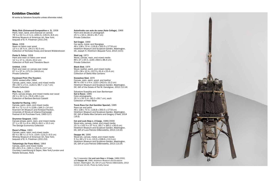Exhibition Checklist All works by Salvatore Scarpitta unless otherwise noted.

Moby Dick (Extramural-Composition n. 3), 1958 Paint, resin, sand, and charcoal on canvas 78 ⅞ x 53 ½ x 3 ½ in. (200.3 x 135.9 x 8.9 cm) Whitney Museum of American Art, New York; bequest of B. H. Friedman (2011.54)

Nikos, 1958 Resin on fabric over wood 13 ½ x 16 ¾ in. (34.3 x 42.5 cm) Collection of Nicholas Howey and Gerard Widdershoven

Ponte S. Felice, 1958 Paint and resin on fabric over wood 12 ½ x 17 in. (31.8 x 43.2 cm) Collection of Ruth and Theodore Baum

Untitled, 1958 Paint and resin on canvas over metal 67 ½ x 57 in. (171.5 x 144.8 cm) Private Collection

Facetowel Print (The Traveler), 1959, revised after 1964 Canvas, paint, resin, wood, and mixed media 49 x 39 ¼ x 5 in. (124.4 x 99.7 x 12.7 cm) Private Collection

Mas Tres, c. 1959 Paint, canvas straps, and mixed media over wood 29 ½ x 33 ½ in. (74.9 x 85.1 cm) Collection of Barbara Bertozzi Castelli

Sundial for Racing, 1962 Canvas, paint, resin, and mixed media 89 ¾ x 72 ½ x 5 ½ (228 x 184.2 x 14 cm) Krannert Art Museum and Kinkead Pavilion, University of Illinois at Urbana-Champaign Festival of Art Purchase Fund, 1965-12-1

Drummer Sergeant, 1963 Canvas straps, paint, resin, and mixed media 27 ½ x 25 ¼ x 6 in. (69.9 x 64.1 x 15.2 cm) The George Economou Collection

Racer's Pillow, 1963 Canvas, paint, resin, and mixed media 60 ⅝ x 48 ½ x 3 ¾ in. (154 x 123.2 x 9.5 cm) Whitney Museum of American Art, New York; bequest of B. H. Friedman (2011.53)

Tishamingo (for Franz Kline), 1964 Canvas, paint, and mixed media 65 x 60 x 5 in. (165.1 x 152.4 x 12.7 cm) Courtesy Luxembourg & Dayan, New York/London and Natalie Seroussi, Paris

Autoritratto con auto da corsa (Auto Collage), 1966 Paint and decals on photograph 25 ½ x 18 in. (64.8 x 45.7 cm) Private Collection

Sal Cragar, 1969 Car parts, metal, and fiberglass 46 x 138 x 70 in. (116.8 x 350.5 x 177.8 cm) Hirshhorn Museum and Sculpture Garden, Washington, DC, Joseph H. Hirshhorn Bequest Fund, 2014 (14.5)

Sled Log, 1973 Wood, canvas, resin, and mixed media 89 x 27 x 34 in. (226 x 68.6 x 86.4 cm) Private Collection

Black Sled, 1974 Wood, leather, paint, and mixed media 125 x 36 x 10 in. (317.5 x 91.4 x 25.4 cm) Collection of Stella Alba Cartaino

Snowshoe Sled, 1974 Canvas, resin, paint, wood, and leather 86 ⅝ x 95 ½ x 4 in. (220 x 242.6 x 10.2 cm) Hirshhorn Museum and Sculpture Garden, Washington, DC, Gift of the Estate of Pat M. Dandignac, 2012 (12.14)

Salvatore Scarpitta and Joan Bankemper Sal is Racer, 1985 Color photographs 35 ½ x 39 ¼ in. (90.2 x 99.7 cm), each Collection of Peter Beler

Trevis Race Car (Sal Gambler Special), 1985 Race car and paint 46 x 138 x 70 in. (116.8 x 350.5 x 177.8 cm) Hirshhorn Museum and Sculpture Garden, Washington, DC, Gift of Stella Alba Cartaino and Gregory O'Neill, 2014  $(14.6)$ 

Cot and Lock Step n. 2 Cargo, 1989/2000 Wood skis, canvas, metal, and mixed media 25 ⅞ x 143 ¾ x 37 ⅝ in. (65.7 x 365.1 x 95.6 cm) Hirshhorn Museum and Sculpture Garden, Washington, DC, Gift of Luca Patrizio DiBenedetto, 2013 (13.10)

Osoppo 44, 1990 Wood ski, canvas, metal, and mixed media 5 ⅜ x 90 x 5 ¼ in. (13.5 x 228.6 x 13.3 cm) Hirshhorn Museum and Sculpture Garden, Washington, DC, Gift of Luca Patrizio DiBenedetto, 2013 (13.14)

Fig. 5 (opposite): Cot and Lock Step n. 2 Cargo, 1989/2000, and Osoppo 44, 1990. Hirshhorn Museum and Sculpture Garden, Washington, DC, Gift of Luca Patrizio DiBenedetto, 2013 (13.10 and 13.14). Photo by Cathy Carver